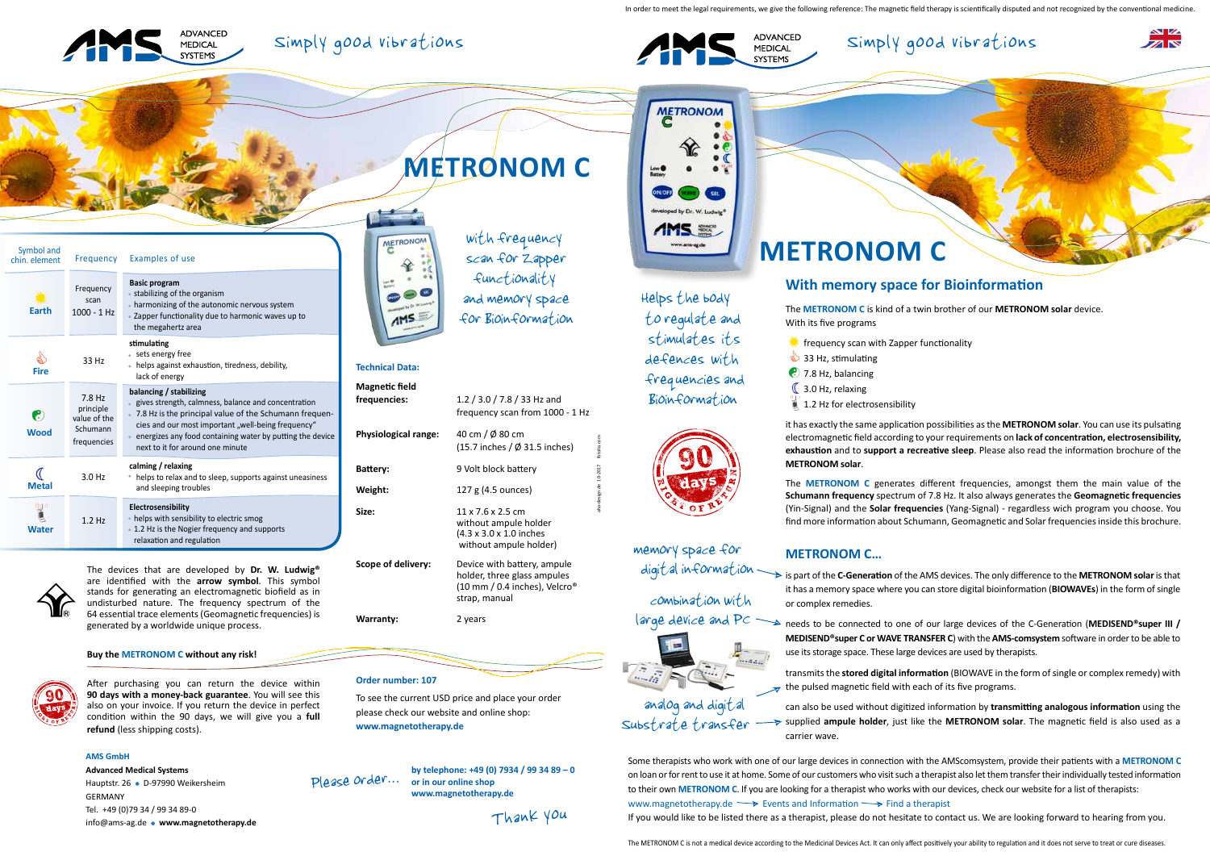aha-design.de 10-2017 fotolia.com

In order to meet the legal requirements, we give the following reference: The magnetic field therapy is scientifically disputed and not recognized by the conventional medicine





# **With memory space for Bioinformation**

The **METRONOM C** is kind of a twin brother of our **METRONOM solar** device.

With its five programs

- $\frac{1}{2}$  frequency scan with Zapper functionality
- $33$  Hz, stimulating
- **(2)** 7.8 Hz, balancing
- $\mathbb C$  3.0 Hz, relaxing
- 1.2 Hz for electrosensibility

it has exactly the same application possibilities as the **METRONOM solar**. You can use its pulsating electromagnetic field according to your requirements on **lack of concentration, electrosensibility, exhaustion** and to **support a recreative sleep**. Please also read the information brochure of the **METRONOM solar**.

digital information 
is part of the **C-Generation** of the AMS devices. The only difference to the **METRONOM solar** is that it has a memory space where you can store digital bioinformation (**BIOWAVEs**) in the form of single or complex remedies.

The **METRONOM C** generates different frequencies, amongst them the main value of the **Schumann frequency** spectrum of 7.8 Hz. It also always generates the **Geomagnetic frequencies** (Yin-Signal) and the **Solar frequencies** (Yang-Signal) - regardless wich program you choose. You find more information about Schumann, Geomagnetic and Solar frequencies inside this brochure.

large device and PC 
arge device and PC
arge device and PC
arge device and PC
arge device and PC
arge device and PC
arge device and PC
arge device and PC
arge device and PC
arge device and PC
arge device and PC
arge device **MEDISEND®super C or WAVE TRANSFER C**) with the **AMS-comsystem** software in order to be able to use its storage space. These large devices are used by therapists.

# **Technical Data:**

| <b>Magnetic field</b><br>frequencies: | 1.2 / 3.0 / 7.8 / 33 Hz and<br>frequency scan from 1000 - 1 Hz                                                           |
|---------------------------------------|--------------------------------------------------------------------------------------------------------------------------|
| <b>Physiological range:</b>           | 40 cm / Ø 80 cm<br>$(15.7$ inches / $\varnothing$ 31.5 inches)                                                           |
| Battery:                              | 9 Volt block battery                                                                                                     |
| Weight:                               | 127 g (4.5 ounces)                                                                                                       |
| Size:                                 | $11 \times 7.6 \times 2.5$ cm<br>without ampule holder<br>(4.3 x 3.0 x 1.0 inches<br>without ampule holder)              |
| Scope of delivery:                    | Device with battery, ampule<br>holder, three glass ampules<br>(10 mm / 0.4 inches), Velcro <sup>®</sup><br>strap, manual |
| Warranty:                             | 2 years                                                                                                                  |
|                                       |                                                                                                                          |

METRONOM Guan) and memory space **AMS** for Bioinformation



# Substrate transfer analog and digital

To see the current USD price and place your order please check our website and online shop: **www.magnetotherapy.de**

**METRONOM C**

## **METRONOM C…**

transmits the **stored digital information** (BIOWAVE in the form of single or complex remedy) with the pulsed magnetic field with each of its five programs.

can also be used without digitized information by **transmitting analogous information** using the supplied **ampule holder**, just like the **METRONOM solar**. The magnetic field is also used as a carrier wave.

The devices that are developed by **Dr. W. Ludwig®** are identified with the **arrow symbol**. This symbol stands for generating an electromagnetic biofield as in undisturbed nature. The frequency spectrum of the 64 essential trace elements (Geomagnetic frequencies) is generated by a worldwide unique process.

#### **Buy the METRONOM C without any risk!**



After purchasing you can return the device within **90 days with a money-back guarantee**. You will see this also on your invoice. If you return the device in perfect condition within the 90 days, we will give you a **full refund** (less shipping costs).

#### **AMS GmbH**

**Advanced Medical Systems** Hauptstr. 26 · D-97990 Weikersheim GERMANY Tel. +49 (0)79 34 / 99 34 89-0 info@ams-ag.de **www.magnetotherapy.de** **METRONOM C**

 with frequency scan for Zapper functionality

> Helps the body to regulate and stimulates its defences with frequencies and Bioinformation



combination with



memory space for

Some therapists who work with one of our large devices in connection with the AMScomsystem, provide their patients with a **METRONOM C**  on loan or for rent to use it at home. Some of our customers who visit such a therapist also let them transfer their individually tested information to their own **METRONOM C**. If you are looking for a therapist who works with our devices, check our website for a list of therapists: www.magnetotherapy.de  $\longrightarrow$  Events and Information  $\longrightarrow$  Find a therapist If you would like to be listed there as a therapist, please do not hesitate to contact us. We are looking forward to hearing from you.





**by telephone: +49 (0) 7934 / 99 34 89 – 0 or in our online shop www.magnetotherapy.de** Please order...

Thank you

**METRONOM** ed by Dr. W. Ludwig **AMS ED** www.ams-ag.de

| Symbol and<br>chin. element | Frequency                                                        | Examples of use                                                                                                                                                                                                                                                                                 |
|-----------------------------|------------------------------------------------------------------|-------------------------------------------------------------------------------------------------------------------------------------------------------------------------------------------------------------------------------------------------------------------------------------------------|
| Earth                       | Frequency<br>scan<br>$1000 - 1$ Hz                               | <b>Basic program</b><br>• stabilizing of the organism<br>• harmonizing of the autonomic nervous system<br>• Zapper functionality due to harmonic waves up to<br>the megahertz area                                                                                                              |
| <b>Fire</b>                 | 33 Hz                                                            | stimulating<br>sets energy free<br>helps against exhaustion, tiredness, debility,<br>lack of energy                                                                                                                                                                                             |
| €<br><b>Wood</b>            | $7.8$ Hz<br>principle<br>value of the<br>Schumann<br>frequencies | balancing / stabilizing<br>gives strength, calmness, balance and concentration<br>7.8 Hz is the principal value of the Schumann frequen-<br>cies and our most important "well-being frequency"<br>energizes any food containing water by putting the device<br>next to it for around one minute |
| <b>Metal</b>                | $3.0$ Hz                                                         | calming / relaxing<br>helps to relax and to sleep, supports against uneasiness<br>and sleeping troubles                                                                                                                                                                                         |
| <b>Water</b>                | $1.2$ Hz                                                         | Electrosensibility<br>• helps with sensibility to electric smog<br>• 1.2 Hz is the Nogier frequency and supports<br>relaxation and regulation                                                                                                                                                   |